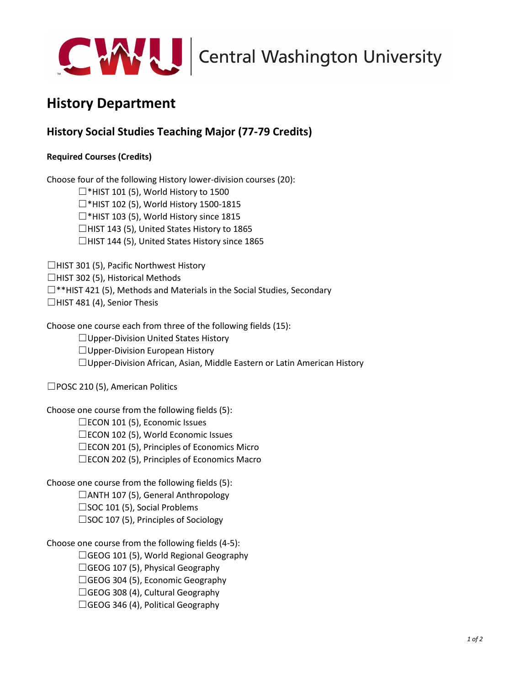

## **History Department**

## **History Social Studies Teaching Major (77-79 Credits)**

## **Required Courses (Credits)**

Choose four of the following History lower-division courses (20):

 $\Box$ \*HIST 101 (5), World History to 1500

☐\*HIST 102 (5), World History 1500-1815

☐\*HIST 103 (5), World History since 1815

☐HIST 143 (5), United States History to 1865

☐HIST 144 (5), United States History since 1865

☐HIST 301 (5), Pacific Northwest History

☐HIST 302 (5), Historical Methods

☐\*\*HIST 421 (5), Methods and Materials in the Social Studies, Secondary

 $\Box$ HIST 481 (4), Senior Thesis

Choose one course each from three of the following fields (15):

☐Upper-Division United States History

 $\Box$ Upper-Division European History

☐Upper-Division African, Asian, Middle Eastern or Latin American History

□POSC 210 (5), American Politics

Choose one course from the following fields (5):

☐ECON 101 (5), Economic Issues

☐ECON 102 (5), World Economic Issues

☐ECON 201 (5), Principles of Economics Micro

☐ECON 202 (5), Principles of Economics Macro

Choose one course from the following fields (5): ☐ANTH 107 (5), General Anthropology □SOC 101 (5), Social Problems

☐SOC 107 (5), Principles of Sociology

Choose one course from the following fields (4-5):

☐GEOG 101 (5), World Regional Geography

 $\Box$ GEOG 107 (5), Physical Geography

 $\Box$ GEOG 304 (5), Economic Geography

 $\Box$ GEOG 308 (4), Cultural Geography

 $\Box$ GEOG 346 (4), Political Geography